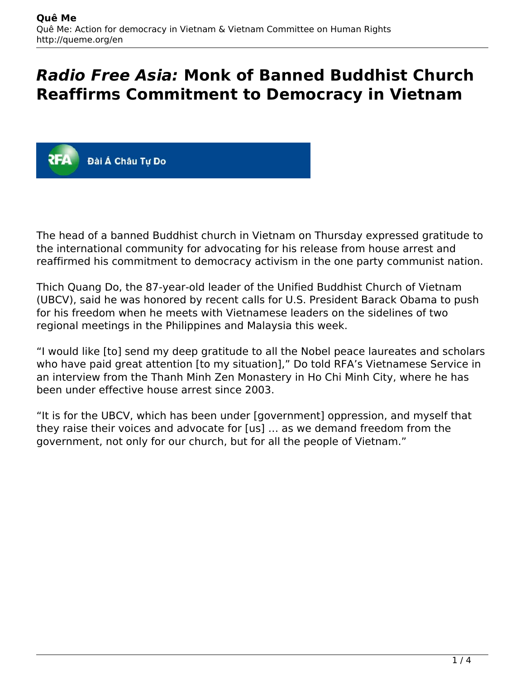# *Radio Free Asia:* **Monk of Banned Buddhist Church Reaffirms Commitment to Democracy in Vietnam**



The head of a banned Buddhist church in Vietnam on Thursday expressed gratitude to the international community for advocating for his release from house arrest and reaffirmed his commitment to democracy activism in the one party communist nation.

Thich Quang Do, the 87-year-old leader of the Unified Buddhist Church of Vietnam (UBCV), said he was honored by recent calls for U.S. President Barack Obama to push for his freedom when he meets with Vietnamese leaders on the sidelines of two regional meetings in the Philippines and Malaysia this week.

"I would like [to] send my deep gratitude to all the Nobel peace laureates and scholars who have paid great attention [to my situation]," Do told RFA's Vietnamese Service in an interview from the Thanh Minh Zen Monastery in Ho Chi Minh City, where he has been under effective house arrest since 2003.

"It is for the UBCV, which has been under [government] oppression, and myself that they raise their voices and advocate for [us] … as we demand freedom from the government, not only for our church, but for all the people of Vietnam."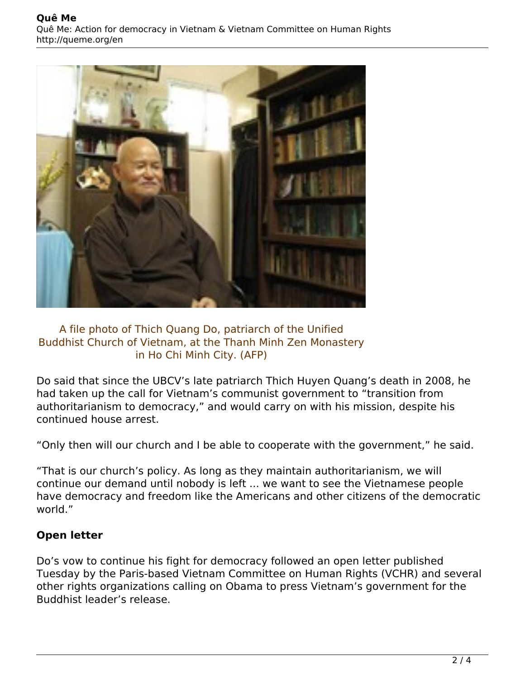

#### A file photo of Thich Quang Do, patriarch of the Unified Buddhist Church of Vietnam, at the Thanh Minh Zen Monastery in Ho Chi Minh City. (AFP)

Do said that since the UBCV's late patriarch Thich Huyen Quang's death in 2008, he had taken up the call for Vietnam's communist government to "transition from authoritarianism to democracy," and would carry on with his mission, despite his continued house arrest.

"Only then will our church and I be able to cooperate with the government," he said.

"That is our church's policy. As long as they maintain authoritarianism, we will continue our demand until nobody is left ... we want to see the Vietnamese people have democracy and freedom like the Americans and other citizens of the democratic world."

### **Open letter**

Do's vow to continue his fight for democracy followed an open letter published Tuesday by the Paris-based Vietnam Committee on Human Rights (VCHR) and several other rights organizations calling on Obama to press Vietnam's government for the Buddhist leader's release.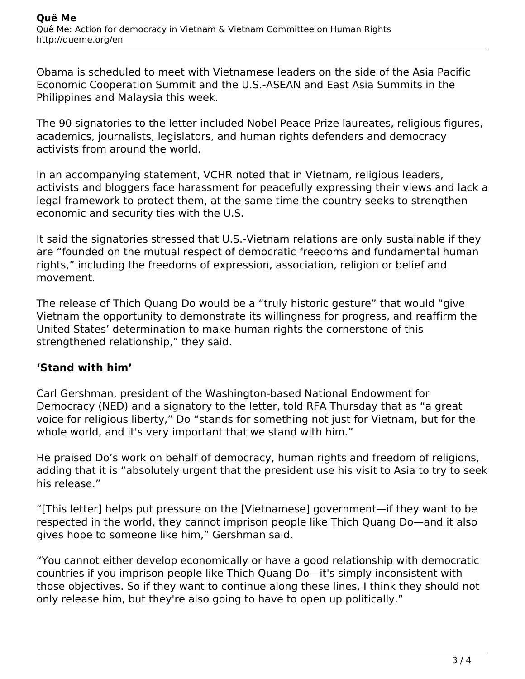Obama is scheduled to meet with Vietnamese leaders on the side of the Asia Pacific Economic Cooperation Summit and the U.S.-ASEAN and East Asia Summits in the Philippines and Malaysia this week.

The 90 signatories to the letter included Nobel Peace Prize laureates, religious figures, academics, journalists, legislators, and human rights defenders and democracy activists from around the world.

In an accompanying statement, VCHR noted that in Vietnam, religious leaders, activists and bloggers face harassment for peacefully expressing their views and lack a legal framework to protect them, at the same time the country seeks to strengthen economic and security ties with the U.S.

It said the signatories stressed that U.S.-Vietnam relations are only sustainable if they are "founded on the mutual respect of democratic freedoms and fundamental human rights," including the freedoms of expression, association, religion or belief and movement.

The release of Thich Quang Do would be a "truly historic gesture" that would "give Vietnam the opportunity to demonstrate its willingness for progress, and reaffirm the United States' determination to make human rights the cornerstone of this strengthened relationship," they said.

## **'Stand with him'**

Carl Gershman, president of the Washington-based National Endowment for Democracy (NED) and a signatory to the letter, told RFA Thursday that as "a great voice for religious liberty," Do "stands for something not just for Vietnam, but for the whole world, and it's very important that we stand with him."

He praised Do's work on behalf of democracy, human rights and freedom of religions, adding that it is "absolutely urgent that the president use his visit to Asia to try to seek his release."

"[This letter] helps put pressure on the [Vietnamese] government—if they want to be respected in the world, they cannot imprison people like Thich Quang Do—and it also gives hope to someone like him," Gershman said.

"You cannot either develop economically or have a good relationship with democratic countries if you imprison people like Thich Quang Do—it's simply inconsistent with those objectives. So if they want to continue along these lines, I think they should not only release him, but they're also going to have to open up politically."